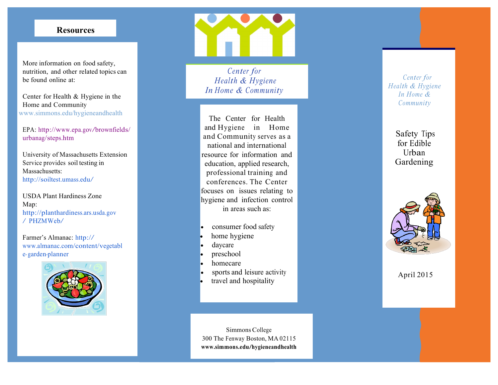## **Resources**

More inform ation on food safety, nutrition, and other related top ics can be found online at:<br>
Center for Health & Hygiene in the

Home and Community <www.simmons.edu/hygieneandhealth>

EPA: [http://www.epa](http://www.epa.gov/brownfields).gov/brownfields/ urbanag/steps .htm

 Serv ice provides soil testing in Univ ersity of Massa chusetts Extension Massa chusetts: [http://s](http://soiltest.umass.edu)oiltest.umass.edu/

USDA Plant Ha rdiness Zone Map: [http://p](http://planthardiness.ars.usda.gov) l anth ardi n ess .ars . u sda.gov / P H ZMW e b/

Farm er's Almanac: http:// [www.almanac](www.almanac.com/content/vegetabl).com/content/vegetabl e-garden-planner



*Health & Hygiene Ce n ter for In Home & C ommun i ty* 

 The Center for Health and Hyg iene in Home resource for information and focuses on issues relating to in areas such as: a nd C omm u n i ty serves as a national and international education, applied research, professional training and conferences. The Center hygiene and infection contr ol

- consumer food sa fety
- home hygiene
- daycare
- preschool
- homecare
- sports and leisure activity
- travel and hospitality

Simmons College 300 The Fenway Boston, MA 02115 **www. sim m ons.edu [/hygiene](www.simmons.edu/hygieneandhealth) a ndh e alth**   *H e a l th & Hygiene In H o me & Ce n ter for Commun i ty* 

Safety Tips for Edible Urb an Gardeni ng



April 2015